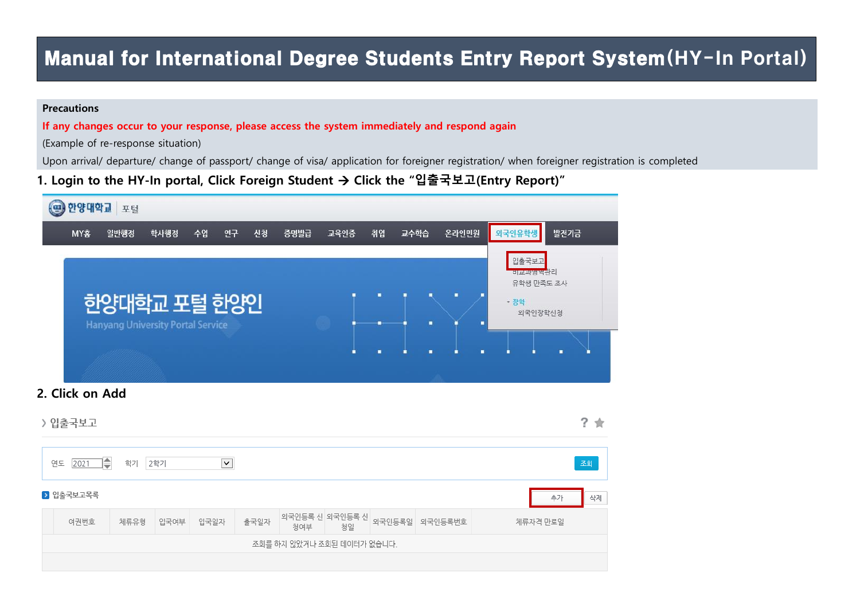# Manual for International Degree Students Entry Report System(HY-In Portal)

### **Precautions**

If any changes occur to your response, please access the system immediately and respond again

(Example of re-response situation)

Upon arrival/ departure/ change of passport/ change of visa/ application for foreigner registration/ when foreigner registration is completed

1. Login to the HY-In portal, Click Foreign Student  $\rightarrow$  Click the "입출국보고(Entry Report)"

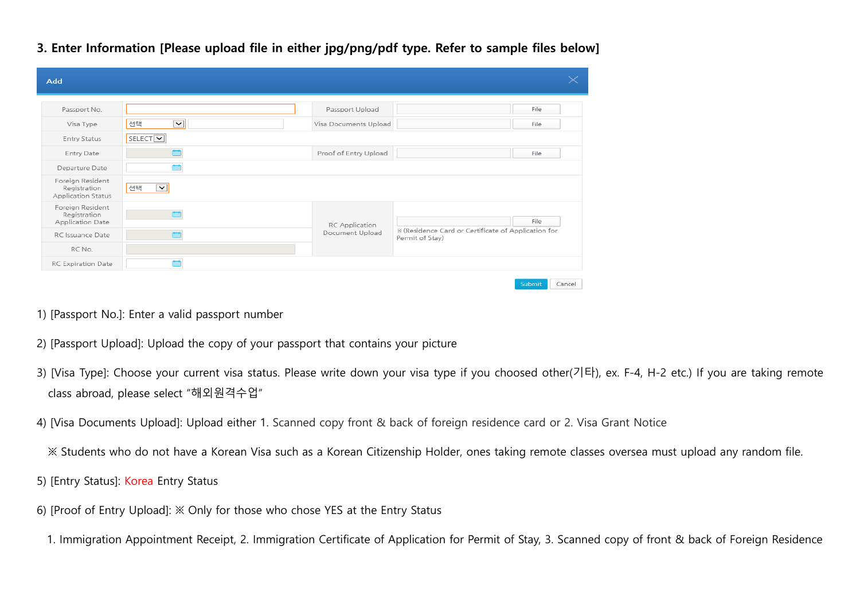| Add                                                    |                                |                       |                                                                        |  |
|--------------------------------------------------------|--------------------------------|-----------------------|------------------------------------------------------------------------|--|
| Passport No.                                           |                                | Passport Upload       | File                                                                   |  |
| Visa Type                                              | $\vert \textbf{v} \vert$<br>선택 | Visa Documents Upload | File                                                                   |  |
| Entry Status                                           | SELECT <sup>V</sup>            |                       |                                                                        |  |
| Entry Date                                             |                                | Proof of Entry Upload | File                                                                   |  |
| Departure Date                                         |                                |                       |                                                                        |  |
| Foreign Resident<br>Registration<br>Application Status | 선택<br>$\checkmark$             |                       |                                                                        |  |
| Foreign Resident<br>Registration<br>Application Date   |                                | RC Application        | File                                                                   |  |
| RC Issuance Date                                       |                                | Document Upload       | * (Residence Card or Certificate of Application for<br>Permit of Stay) |  |
| RC No.                                                 |                                |                       |                                                                        |  |
| RC Expiration Date                                     |                                |                       |                                                                        |  |

3. Enter Information [Please upload file in either jpg/png/pdf type. Refer to sample files below]

- 1) [Passport No.]: Enter a valid passport number
- 2) [Passport Upload]: Upload the copy of your passport that contains your picture
- 3) [Visa Type]: Choose your current visa status. Please write down your visa type if you choosed other(기타), ex. F-4, H-2 etc.) If you are taking remote class abroad, please select "해외원격수업"
- 4) [Visa Documents Upload]: Upload either 1. Scanned copy front & back of foreign residence card or 2. Visa Grant Notice
	- ※ Students who do not have a Korean Visa such as a Korean Citizenship Holder, ones taking remote classes oversea must upload any random file.
- 5) [Entry Status]: Korea Entry Status
- 6) [Proof of Entry Upload]: ※ Only for those who chose YES at the Entry Status
- 1. Immigration Appointment Receipt, 2. Immigration Certificate of Application for Permit of Stay, 3. Scanned copy of front & back of Foreign Residence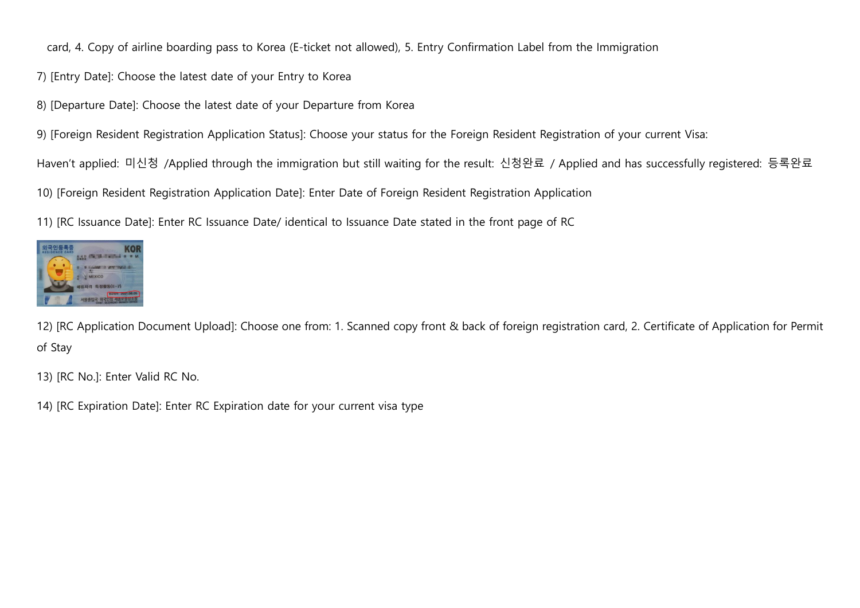card, 4. Copy of airline boarding pass to Korea (E-ticket not allowed), 5. Entry Confirmation Label from the Immigration

- 7) [Entry Date]: Choose the latest date of your Entry to Korea
- 8) [Departure Date]: Choose the latest date of your Departure from Korea
- 9) [Foreign Resident Registration Application Status]: Choose your status for the Foreign Resident Registration of your current Visa:

Haven't applied: 미신청 /Applied through the immigration but still waiting for the result: 신청완료 / Applied and has successfully registered: 등록완료

10) [Foreign Resident Registration Application Date]: Enter Date of Foreign Resident Registration Application

11) [RC Issuance Date]: Enter RC Issuance Date/ identical to Issuance Date stated in the front page of RC



12) [RC Application Document Upload]: Choose one from: 1. Scanned copy front & back of foreign registration card, 2. Certificate of Application for Permit of Stay

13) [RC No.]: Enter Valid RC No.

14) [RC Expiration Date]: Enter RC Expiration date for your current visa type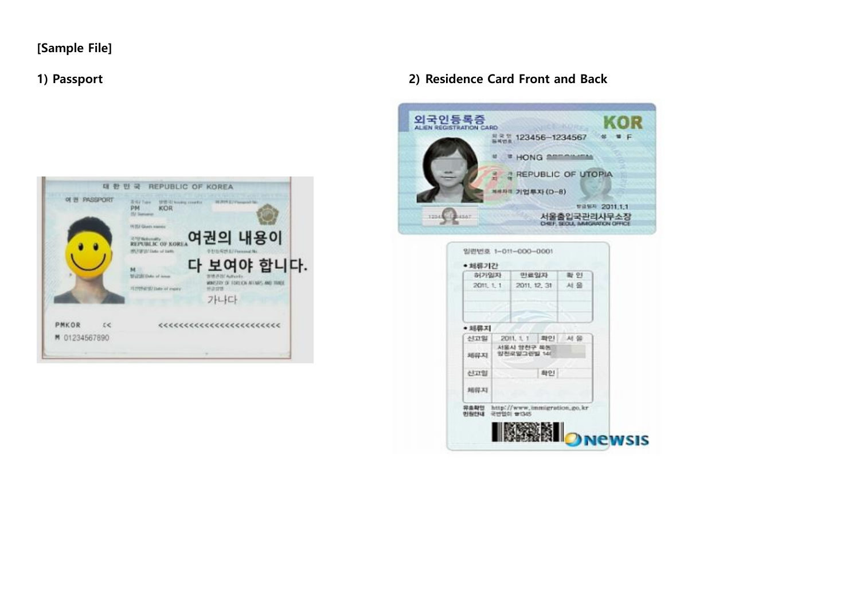### [Sample File]



### 1) Passport 2) Residence Card Front and Back



| 허가입자         | 만료일자                      |              | 数 91                         |  |
|--------------|---------------------------|--------------|------------------------------|--|
| 2011, 1, 1   |                           | 2011, 12, 31 | 서울                           |  |
|              |                           |              |                              |  |
| • 刘易天        |                           |              |                              |  |
| 선고일          | 2011, 1, 1                | 확인           | 材質                           |  |
| 利得利          | 서울시 양천구 욕동<br>양천로일그런빌 140 |              |                              |  |
| 신고일          |                           | 확인           |                              |  |
| 规则对          |                           |              |                              |  |
| 异血期包<br>민원인내 | 국번업이 합(345)               |              | http://www.immigration.go.kr |  |
|              |                           |              |                              |  |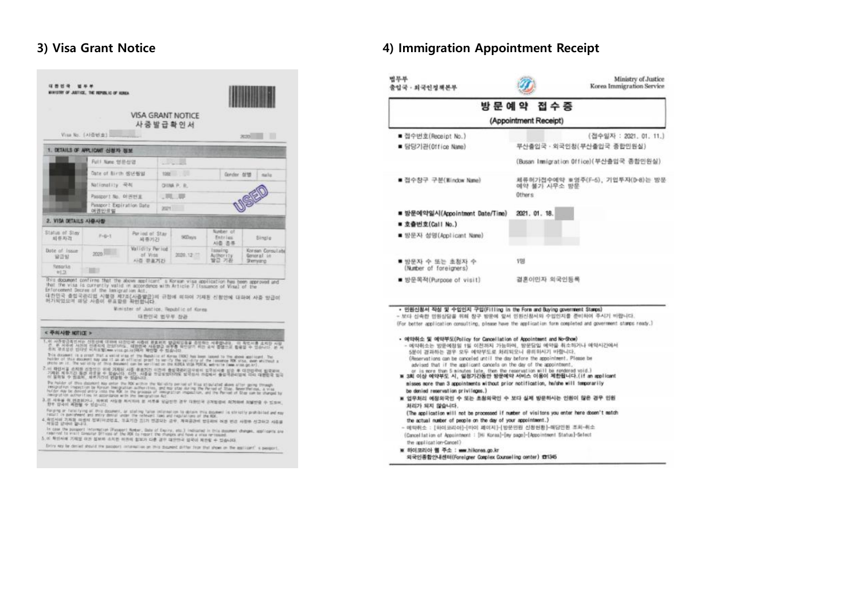|                        | Visa No. (A) 否则 查》                |                                        | <b>VISA GRANT NOTICE</b><br>사증발급확인서 |                                       | m<br>2020                                         |
|------------------------|-----------------------------------|----------------------------------------|-------------------------------------|---------------------------------------|---------------------------------------------------|
|                        | 1. DETAILS OF APPLICANT 신청자 정보    |                                        |                                     |                                       |                                                   |
|                        | Full Name SER-5193                |                                        |                                     |                                       |                                                   |
|                        | Date of Birth 8014 6012           |                                        | 1241 12                             | Gorder orth                           | maile                                             |
|                        | Nationality 平布                    |                                        | OIINA P. R.                         |                                       |                                                   |
|                        | Passport No. 01:491 W.            |                                        | $-7737$                             |                                       |                                                   |
|                        | Passport Expiration Date<br>여권만코일 |                                        | 2021                                |                                       |                                                   |
| 2. VISA DETAILS AI 叠入图 |                                   |                                        |                                     |                                       |                                                   |
| Status of Stay<br>組作用2 | $F = E - T$                       | Par ind of Stay<br>周春光2日               | <b>SODays</b>                       | Nunter of<br><b>Fntries</b><br>Al巻 恙草 | <b>Single</b>                                     |
| Date of Issue<br>安音室   | 2020                              | Validity Period<br>of Vies.<br>사증 异亚기간 | 2020, 12                            | Issuing.<br>Authority<br>발균 기원        | Korsan Consulate<br>General in<br><b>Shemward</b> |
| Removike<br>世日         |                                   |                                        |                                     |                                       |                                                   |

**GENER WORK** 

### < 주의사항 NOTICE >

- 
- 
- 
- 
- 
- 
- .<br>이 1980년 2월 1989년 1월 1989년 1월 1989년 1월 1989년 1월 1989년 1월 1989년 1월 1989년 1월 1989년 1월 1989년 1월 1989년 1월 1989년<br>4. 제공지의 기술의 정 대통령 1월 1989년 1월 1989년 1월 1989년 1월 1989년 1월 1989년 1월 1989년 1월 1989년 1월 1989년 1월 1989년 1월 1989년<br>- 제
- 
- n was under Monnatch (Fanapit Motor, Date of Equipp, etc.) Indicated in this document changes, applicants are<br>- February 2011 Groundar Diffices of the RSK to report the Pumpes and fore a wise for issued.<br>5.이 확인서에 기계된 대전

Ditry was be denied should the passent interestion on this discovert diffur than that show on the equivalent' is posizent.

### 3) Visa Grant Notice **4**) Immigration Appointment Receipt

|                                                                                                                                                                                                                                                                                                                                                      | 방문예약 접수증                                                                                                                                                                |
|------------------------------------------------------------------------------------------------------------------------------------------------------------------------------------------------------------------------------------------------------------------------------------------------------------------------------------------------------|-------------------------------------------------------------------------------------------------------------------------------------------------------------------------|
|                                                                                                                                                                                                                                                                                                                                                      |                                                                                                                                                                         |
|                                                                                                                                                                                                                                                                                                                                                      | (Appointment Receipt)                                                                                                                                                   |
| ■ 접수번호(Receipt No.)                                                                                                                                                                                                                                                                                                                                  | (접수일자 : 2021, 01, 11.)                                                                                                                                                  |
| ■ 담당기관(Office Name)                                                                                                                                                                                                                                                                                                                                  | 부산출입국 · 외국인청(부산출입국 종합민원실)                                                                                                                                               |
|                                                                                                                                                                                                                                                                                                                                                      | (Busan Immigration Office)(부산출입국 종합민원실)                                                                                                                                 |
| ■ 접수창구 구분(Window Name)                                                                                                                                                                                                                                                                                                                               | 채류허가접수에약 ※영주(F-5), 기업투자(D-8)는 방문<br>예약 불가 시무소 방문<br>Others:                                                                                                             |
| ■ 방문예약일시(Appointment Date/Time)                                                                                                                                                                                                                                                                                                                      | 2021. 01. 18.                                                                                                                                                           |
| ■ 立叠也支(Call No.)                                                                                                                                                                                                                                                                                                                                     |                                                                                                                                                                         |
| ■ 방문자 성명(Applicant Name)                                                                                                                                                                                                                                                                                                                             |                                                                                                                                                                         |
| ■ 방문자 수 또는 초점자 수<br>(Number of foreigners)                                                                                                                                                                                                                                                                                                           | 198                                                                                                                                                                     |
| ■ 방문목적(Purpose of visit)                                                                                                                                                                                                                                                                                                                             | 경혼이민자 외국인동목                                                                                                                                                             |
| • 민원신청서 직성 및 수입인지 구입(Filling in the Form and Buying government Stamps)                                                                                                                                                                                                                                                                               | - 보다 신속한 민원상담을 위해 창구 방문에 앞서 인원신청서의 수입인지를 준비하여 주시기 비합니다.<br>(For better application consulting, please have the application form completed and government stamps resty.) |
| • 예약취소 및 예약부도(Policy for Cancellation of Appointment and No-Show)<br>5분이 결과하는 경우 모두 예약부도로 처리되오니 유리하시기 바랍니다.<br>(Reservations can be canceled until the day before the appointment, Please be<br>advised that if the applicant cancels on the day of the appointment,<br>or is more than 5 minutes late, then the reservation will be rendered void.) | - 예약취소는 방문예정일 1일 이전까지 가능하며, 방문당일 예약을 취소하거나 예약시간에서                                                                                                                       |
| ※ 3회 이상 예약부도 시, 일정기간동안 방문예약 서비스 이용이 제한됩니다.(if an applicant<br>misses more than 3 appointments without prior notification, he/she will temporarily                                                                                                                                                                                                    |                                                                                                                                                                         |
| be denied recervation privileges.)                                                                                                                                                                                                                                                                                                                   |                                                                                                                                                                         |
| ₩ 업무처리 예정의국인 수 또는 초청의국인 수 보다 실제 방문하시는 인원이 많은 경우 민원                                                                                                                                                                                                                                                                                                   |                                                                                                                                                                         |
| 처리가 되지 않습니다.                                                                                                                                                                                                                                                                                                                                         |                                                                                                                                                                         |
| the actual number of people on the day of your appointment.)                                                                                                                                                                                                                                                                                         | (The application will not be processed if number of visitors you enter here doesn't match                                                                               |
| - 애막취소 : [하이코리아]-[마이 페이지]-[방문민원 신청헌황]-매당만원 조회-취소                                                                                                                                                                                                                                                                                                     |                                                                                                                                                                         |
| (Cancellation of Appointment : [Hi Koraa]-[my sage]-[Appointment Status]-Select                                                                                                                                                                                                                                                                      |                                                                                                                                                                         |
| the application-Cancel)<br>w 89이코리아 웹 주소 : www.hikorea.go.kr                                                                                                                                                                                                                                                                                         |                                                                                                                                                                         |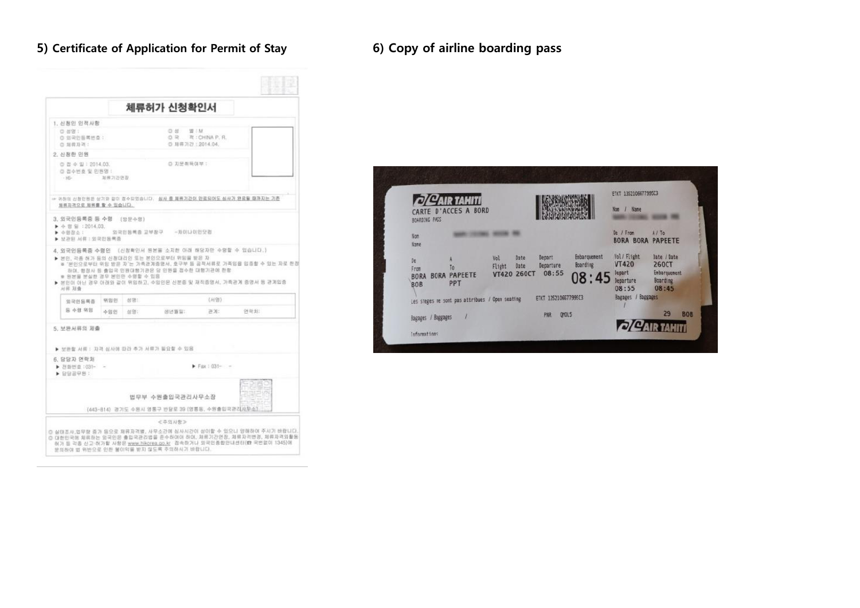## 5) Certificate of Application for Permit of Stay 6) Copy of airline boarding pass

|                                                     |            |              | 체류허가 신청확인서                                                                                                                                                                                                                                                              |                    |      |
|-----------------------------------------------------|------------|--------------|-------------------------------------------------------------------------------------------------------------------------------------------------------------------------------------------------------------------------------------------------------------------------|--------------------|------|
| 1. 신청인 인적사항                                         |            |              |                                                                                                                                                                                                                                                                         |                    |      |
| 0.88 :<br>◎ 對宋巴長萬世章:<br>(2) 封筒及端:                   |            |              | 0.8<br>一望 三M<br>◎ 知得 页23:2014.04                                                                                                                                                                                                                                        | ◎ R 对:CHINA P. R.  |      |
| 2. 신청한 민평                                           |            |              |                                                                                                                                                                                                                                                                         |                    |      |
| ◎ 꼽 수 말 : 2014.03.<br>© 접수번호 및 민원명 :<br>$+16-$      | 加算习功许是     |              | ◎ 双受帮局弹导:                                                                                                                                                                                                                                                               |                    |      |
| 브뤼자격으로 체류를 할 수 있습니다.                                |            |              | ☞ 귀하의 산철만원관 상기와 같이 접수되었습니다. 삼사 출 超界기간이 만료되어도 심사가 완료될 때까지는 기존                                                                                                                                                                                                            |                    |      |
| → 普通投 →                                             |            | 외국민동록증 교부참구. | -자미나이만닷컴                                                                                                                                                                                                                                                                |                    |      |
| * 원본을 본실한 경우 본민만 수령할 수 있음                           |            |              | 4. 외국인등록증 수령인 (신청확인서 원본을 소자한 아래 해당자만 수명할 수 있습니다.)<br>▶ 생만, 각종 참가 등의 산쟁대리인 또는 본인으로부터 위임을 받은 자<br>※ '본인으로부터 위망 받은 자'는 가족관계증명서, 호구부 등 공격서류로 가족임을 입증할 수 있는 자로 한?<br>하여, 행정사 등 총입국 단평대행기관은 당 민원을 접수한 대행기관에 한항.<br>▶ 본인이 아닌 경우 아래와 같이 뒤임하고, 수임안은 신분증 및 재직증명서, 가족금계 증명서 등 관계입증 |                    |      |
| ▶ 보관된 서류 : 외국민동력종<br>对带 凝查                          |            |              |                                                                                                                                                                                                                                                                         |                    |      |
| 있국민동록증<br>旨 수령 위원                                   | 위암인<br>수임인 | 创 团:<br>类异!  | 胡环菌苗1                                                                                                                                                                                                                                                                   | (H等)<br>20011      | 연락처: |
| 5. 보완서류의 재출<br>▶ 보완할 서류 : 자격 심사에 따라 추가 서류가 발요할 수 있음 |            |              |                                                                                                                                                                                                                                                                         |                    |      |
| - 160: 查时提访 4<br>▶ 담당공무원 :                          |            |              |                                                                                                                                                                                                                                                                         | $F = 500$ : 031- - |      |
| 6. 담당자 연락처                                          |            |              | 법무부 수원출입국관리사무소장<br>(443-814) 경기도 수원시 영통구 반달로 39 (영통동, 수원출입국관리사무소)                                                                                                                                                                                                       |                    |      |